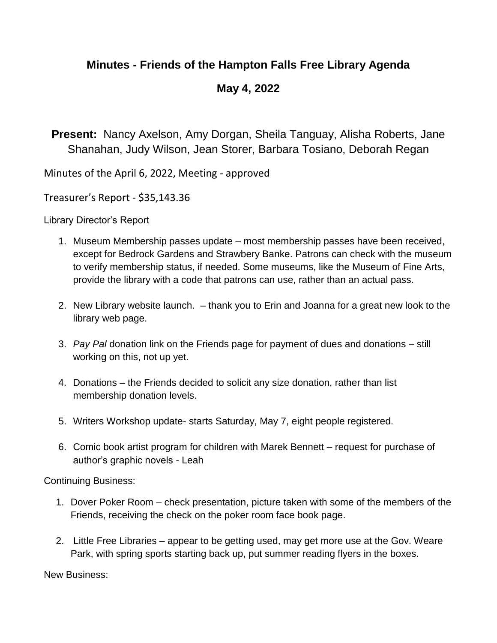## **Minutes - Friends of the Hampton Falls Free Library Agenda**

## **May 4, 2022**

**Present:** Nancy Axelson, Amy Dorgan, Sheila Tanguay, Alisha Roberts, Jane Shanahan, Judy Wilson, Jean Storer, Barbara Tosiano, Deborah Regan

Minutes of the April 6, 2022, Meeting - approved

Treasurer's Report - \$35,143.36

Library Director's Report

- 1. Museum Membership passes update most membership passes have been received, except for Bedrock Gardens and Strawbery Banke. Patrons can check with the museum to verify membership status, if needed. Some museums, like the Museum of Fine Arts, provide the library with a code that patrons can use, rather than an actual pass.
- 2. New Library website launch. thank you to Erin and Joanna for a great new look to the library web page.
- 3. *Pay Pal* donation link on the Friends page for payment of dues and donations still working on this, not up yet.
- 4. Donations the Friends decided to solicit any size donation, rather than list membership donation levels.
- 5. Writers Workshop update- starts Saturday, May 7, eight people registered.
- 6. Comic book artist program for children with Marek Bennett request for purchase of author's graphic novels - Leah

Continuing Business:

- 1. Dover Poker Room check presentation, picture taken with some of the members of the Friends, receiving the check on the poker room face book page.
- 2. Little Free Libraries appear to be getting used, may get more use at the Gov. Weare Park, with spring sports starting back up, put summer reading flyers in the boxes.

New Business: